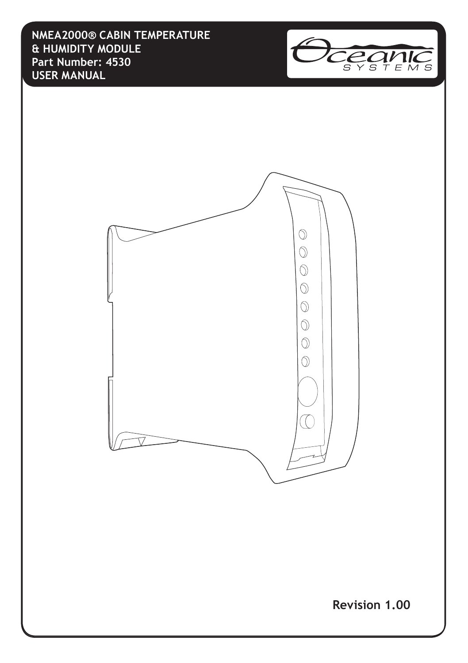**NMEA2000® CABIN TEMPERATURE & HUMIDITY MODULE Part Number: 4530 USER MANUAL**





**Revision 1.00**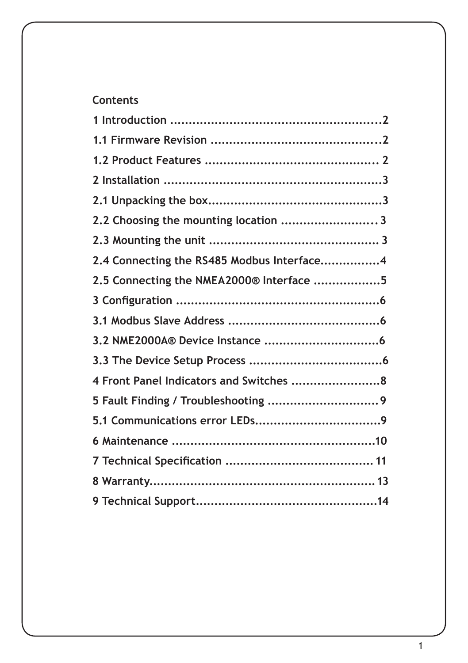## **Contents**

| 2.2 Choosing the mounting location 3       |  |
|--------------------------------------------|--|
|                                            |  |
| 2.4 Connecting the RS485 Modbus Interface4 |  |
| 2.5 Connecting the NMEA2000® Interface 5   |  |
|                                            |  |
|                                            |  |
|                                            |  |
|                                            |  |
| 4 Front Panel Indicators and Switches 8    |  |
|                                            |  |
|                                            |  |
|                                            |  |
|                                            |  |
|                                            |  |
|                                            |  |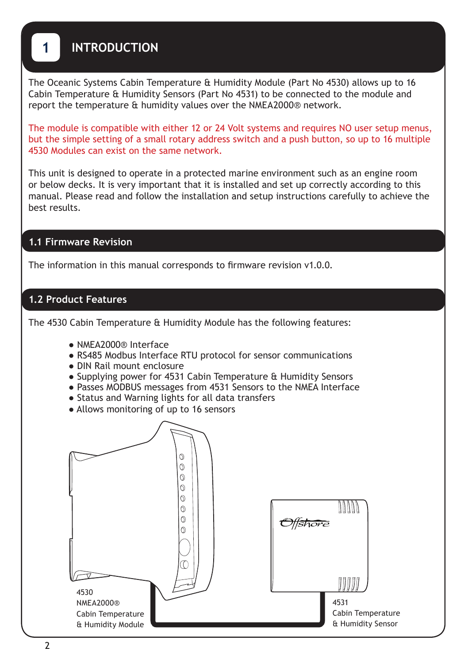## **1 INTRODUCTION**

The Oceanic Systems Cabin Temperature & Humidity Module (Part No 4530) allows up to 16 Cabin Temperature & Humidity Sensors (Part No 4531) to be connected to the module and report the temperature & humidity values over the NMEA2000® network.

The module is compatible with either 12 or 24 Volt systems and requires NO user setup menus, but the simple setting of a small rotary address switch and a push button, so up to 16 multiple 4530 Modules can exist on the same network.

This unit is designed to operate in a protected marine environment such as an engine room or below decks. It is very important that it is installed and set up correctly according to this manual. Please read and follow the installation and setup instructions carefully to achieve the best results.

#### **1.1 Firmware Revision**

The information in this manual corresponds to firmware revision v1.0.0.

#### **1.2 Product Features**

The 4530 Cabin Temperature & Humidity Module has the following features:

- NMEA2000® Interface
- RS485 Modbus Interface RTU protocol for sensor communications
- DIN Rail mount enclosure
- Supplying power for 4531 Cabin Temperature & Humidity Sensors
- Passes MODBUS messages from 4531 Sensors to the NMEA Interface
- Status and Warning lights for all data transfers
- Allows monitoring of up to 16 sensors

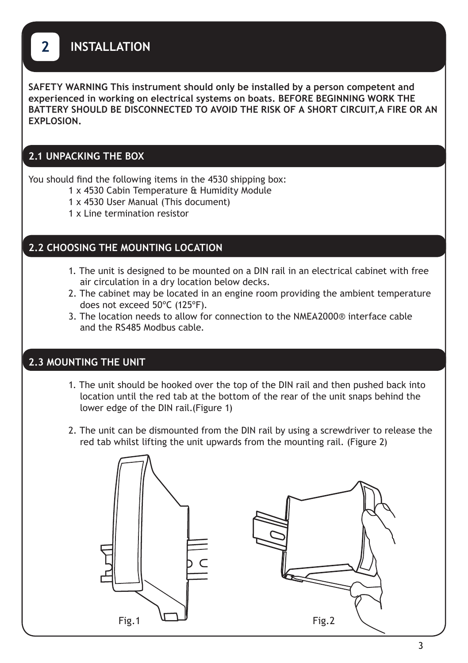**2 INSTALLATION**

**SAFETY WARNING This instrument should only be installed by a person competent and experienced in working on electrical systems on boats. BEFORE BEGINNING WORK THE BATTERY SHOULD BE DISCONNECTED TO AVOID THE RISK OF A SHORT CIRCUIT,A FIRE OR AN EXPLOSION.** 

#### **2.1 UNPACKING THE BOX**

You should find the following items in the 4530 shipping box:

- 1 x 4530 Cabin Temperature & Humidity Module
- 1 x 4530 User Manual (This document)
- 1 x Line termination resistor

#### **2.2 CHOOSING THE MOUNTING LOCATION**

- 1. The unit is designed to be mounted on a DIN rail in an electrical cabinet with free air circulation in a dry location below decks.
- 2. The cabinet may be located in an engine room providing the ambient temperature does not exceed 50ºC (125ºF).
- 3. The location needs to allow for connection to the NMEA2000® interface cable and the RS485 Modbus cable.

#### **2.3 MOUNTING THE UNIT**

- 1. The unit should be hooked over the top of the DIN rail and then pushed back into location until the red tab at the bottom of the rear of the unit snaps behind the lower edge of the DIN rail.(Figure 1)
- 2. The unit can be dismounted from the DIN rail by using a screwdriver to release the red tab whilst lifting the unit upwards from the mounting rail. (Figure 2)

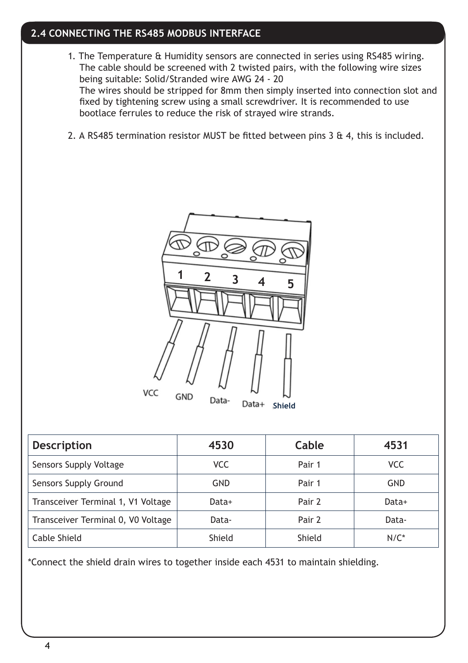### **2.4 CONNECTING THE RS485 MODBUS INTERFACE**

- 1. The Temperature & Humidity sensors are connected in series using RS485 wiring. The cable should be screened with 2 twisted pairs, with the following wire sizes being suitable: Solid/Stranded wire AWG 24 - 20 The wires should be stripped for 8mm then simply inserted into connection slot and fixed by tightening screw using a small screwdriver. It is recommended to use bootlace ferrules to reduce the risk of strayed wire strands.
- 2. A RS485 termination resistor MUST be fitted between pins 3  $\&$  4, this is included.



| <b>Description</b>                 | 4530       | Cable  | 4531       |  |
|------------------------------------|------------|--------|------------|--|
| Sensors Supply Voltage             | <b>VCC</b> |        | <b>VCC</b> |  |
| Sensors Supply Ground              | GND        | Pair 1 | GND        |  |
| Transceiver Terminal 1, V1 Voltage | Data+      | Pair 2 | Data+      |  |
| Transceiver Terminal 0, V0 Voltage | Data-      | Pair 2 | Data-      |  |
| Cable Shield                       | Shield     | Shield | $N/C^*$    |  |

\*Connect the shield drain wires to together inside each 4531 to maintain shielding.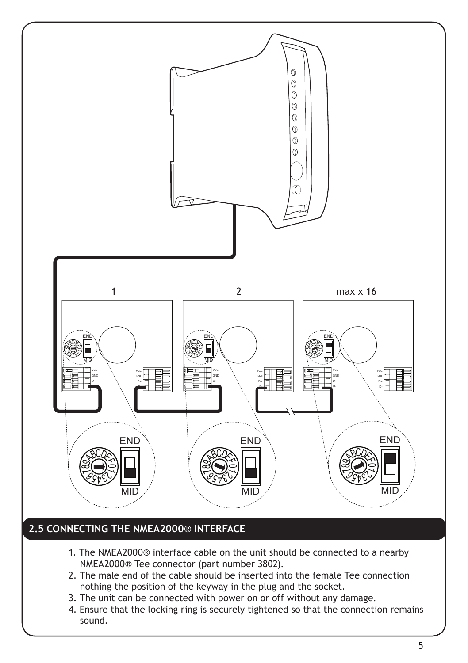

## **2.5 CONNECTING THE NMEA2000**® **INTERFACE**

- 1. The NMEA2000® interface cable on the unit should be connected to a nearby NMEA2000® Tee connector (part number 3802).
- 2. The male end of the cable should be inserted into the female Tee connection nothing the position of the keyway in the plug and the socket.
- 3. The unit can be connected with power on or off without any damage.
- 4. Ensure that the locking ring is securely tightened so that the connection remains sound.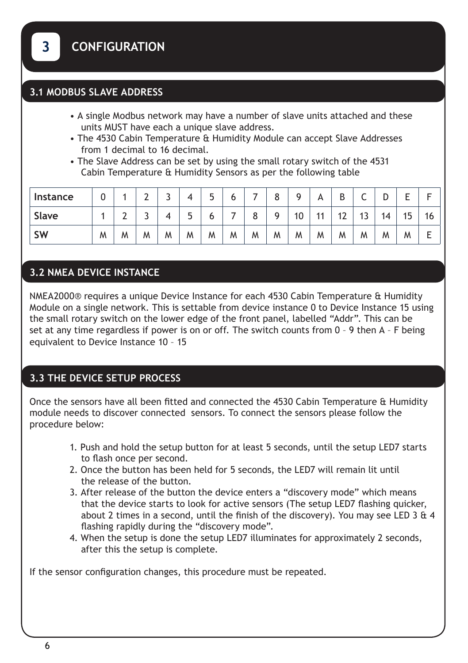### **3.1 MODBUS SLAVE ADDRESS**

- A single Modbus network may have a number of slave units attached and these units MUST have each a unique slave address.
- The 4530 Cabin Temperature & Humidity Module can accept Slave Addresses from 1 decimal to 16 decimal.
- The Slave Address can be set by using the small rotary switch of the 4531 Cabin Temperature & Humidity Sensors as per the following table

| <b>Instance</b> |   |   | ⌒ | ٠ |   | Б,<br>J | O |   | O<br>Ο | a  | Α   | D<br>ט   | ◡  |    |    |    |
|-----------------|---|---|---|---|---|---------|---|---|--------|----|-----|----------|----|----|----|----|
| Slave           |   |   | ٠ |   | J | 6       |   | 8 | a      | 10 | -14 | 13<br>ı∠ | دו | 14 | 15 | 16 |
| <b>SW</b>       | M | M | M | M | M | M       | M | M | M      | M  | M   | M        | M  | M  | M  |    |

## **3.2 NMEA DEVICE INSTANCE**

NMEA2000® requires a unique Device Instance for each 4530 Cabin Temperature & Humidity Module on a single network. This is settable from device instance 0 to Device Instance 15 using the small rotary switch on the lower edge of the front panel, labelled "Addr". This can be set at any time regardless if power is on or off. The switch counts from 0 – 9 then A – F being equivalent to Device Instance 10 – 15

### **3.3 THE DEVICE SETUP PROCESS**

Once the sensors have all been fitted and connected the 4530 Cabin Temperature & Humidity module needs to discover connected sensors. To connect the sensors please follow the procedure below:

- 1. Push and hold the setup button for at least 5 seconds, until the setup LED7 starts to flash once per second.
- 2. Once the button has been held for 5 seconds, the LED7 will remain lit until the release of the button.
- 3. After release of the button the device enters a "discovery mode" which means that the device starts to look for active sensors (The setup LED7 flashing quicker, about 2 times in a second, until the finish of the discovery). You may see LED 3  $\&$  4 flashing rapidly during the "discovery mode".
- 4. When the setup is done the setup LED7 illuminates for approximately 2 seconds, after this the setup is complete.

If the sensor configuration changes, this procedure must be repeated.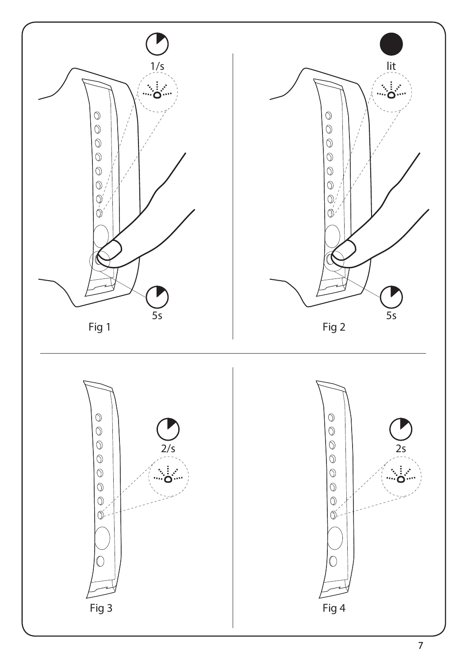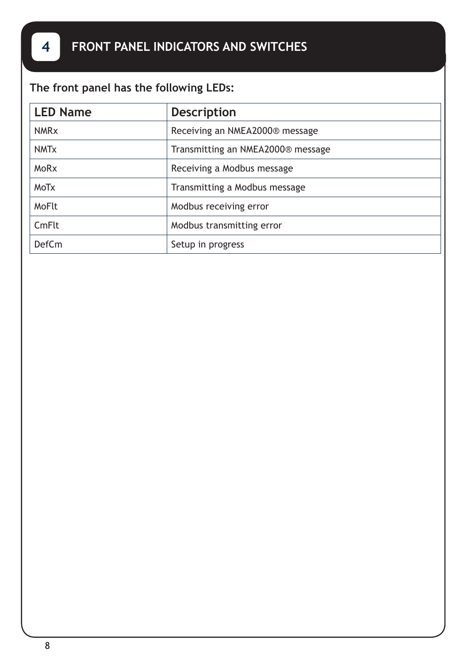# **The front panel has the following LEDs:**

| <b>LED Name</b>        | <b>Description</b>                |
|------------------------|-----------------------------------|
| <b>NMR<sub>x</sub></b> | Receiving an NMEA2000® message    |
| <b>NMT<sub>x</sub></b> | Transmitting an NMEA2000® message |
| MoRx                   | Receiving a Modbus message        |
| <b>MoTx</b>            | Transmitting a Modbus message     |
| MoFlt                  | Modbus receiving error            |
| CmFlt                  | Modbus transmitting error         |
| <b>DefCm</b>           | Setup in progress                 |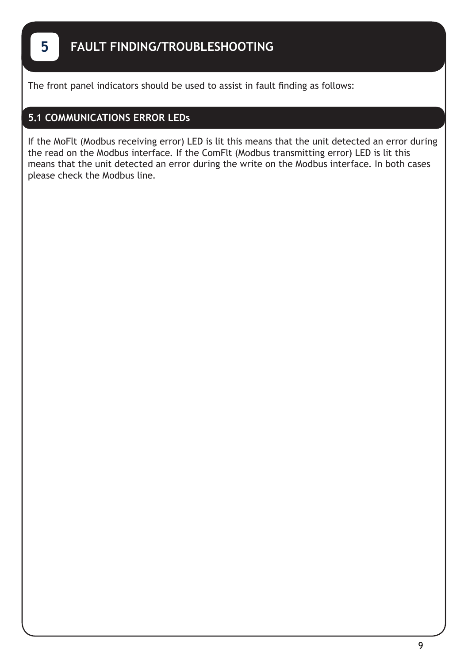The front panel indicators should be used to assist in fault finding as follows:

### **5.1 COMMUNICATIONS ERROR LEDs**

If the MoFlt (Modbus receiving error) LED is lit this means that the unit detected an error during the read on the Modbus interface. If the ComFlt (Modbus transmitting error) LED is lit this means that the unit detected an error during the write on the Modbus interface. In both cases please check the Modbus line.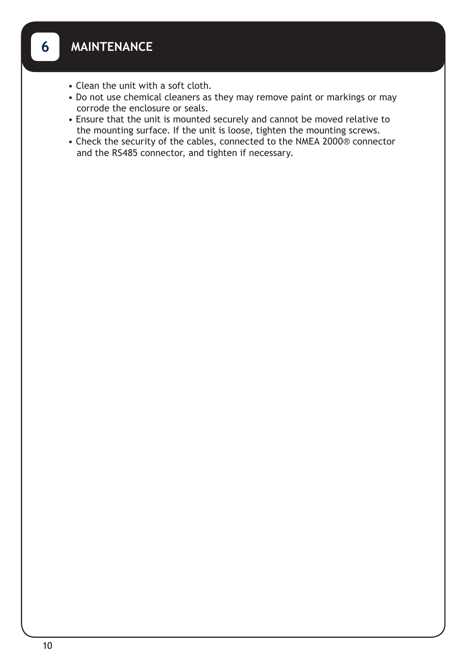- Clean the unit with a soft cloth.
- Do not use chemical cleaners as they may remove paint or markings or may corrode the enclosure or seals.
- Ensure that the unit is mounted securely and cannot be moved relative to the mounting surface. If the unit is loose, tighten the mounting screws.
- Check the security of the cables, connected to the NMEA 2000® connector and the RS485 connector, and tighten if necessary.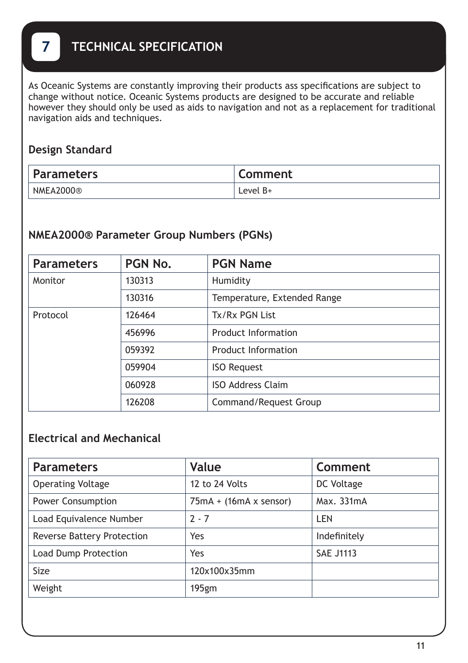# **7 TECHNICAL SPECIFICATION**

As Oceanic Systems are constantly improving their products ass specifications are subject to change without notice. Oceanic Systems products are designed to be accurate and reliable however they should only be used as aids to navigation and not as a replacement for traditional navigation aids and techniques.

## **Design Standard**

| <b>Parameters</b> | Comment    |
|-------------------|------------|
| NMEA2000®         | Level $B+$ |

## **NMEA2000® Parameter Group Numbers (PGNs)**

| <b>Parameters</b> | PGN No. | <b>PGN Name</b>             |  |  |  |
|-------------------|---------|-----------------------------|--|--|--|
| Monitor           | 130313  | Humidity                    |  |  |  |
|                   | 130316  | Temperature, Extended Range |  |  |  |
| Protocol          | 126464  | Tx/Rx PGN List              |  |  |  |
|                   | 456996  | Product Information         |  |  |  |
|                   | 059392  | <b>Product Information</b>  |  |  |  |
|                   | 059904  | <b>ISO Request</b>          |  |  |  |
|                   | 060928  | <b>ISO Address Claim</b>    |  |  |  |
|                   | 126208  | Command/Request Group       |  |  |  |

## **Electrical and Mechanical**

| <b>Parameters</b>                 | Value                         | Comment          |
|-----------------------------------|-------------------------------|------------------|
| <b>Operating Voltage</b>          | 12 to 24 Volts                | DC Voltage       |
| <b>Power Consumption</b>          | $75mA + (16mA \times$ sensor) | Max. 331mA       |
| Load Equivalence Number           | $2 - 7$                       | LEN              |
| <b>Reverse Battery Protection</b> | Yes                           | Indefinitely     |
| Load Dump Protection              | Yes                           | <b>SAE J1113</b> |
| Size                              | 120x100x35mm                  |                  |
| Weight                            | 195gm                         |                  |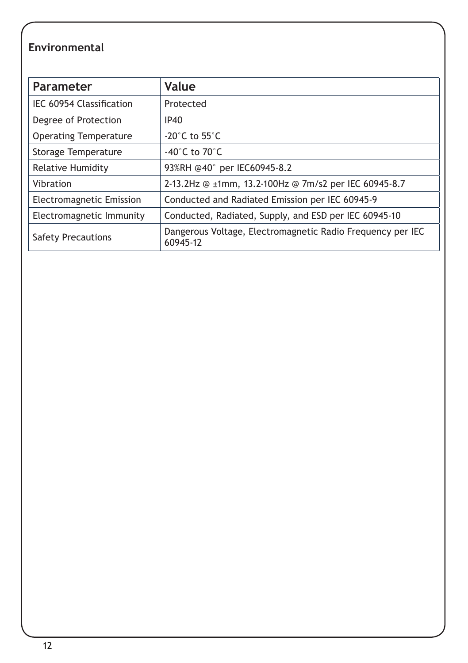# **Environmental**

| Parameter                       | <b>Value</b>                                                           |
|---------------------------------|------------------------------------------------------------------------|
| IEC 60954 Classification        | Protected                                                              |
| Degree of Protection            | <b>IP40</b>                                                            |
| <b>Operating Temperature</b>    | -20 $^{\circ}$ C to 55 $^{\circ}$ C                                    |
| Storage Temperature             | -40 $^{\circ}$ C to 70 $^{\circ}$ C                                    |
| Relative Humidity               | 93%RH @40° per IEC60945-8.2                                            |
| Vibration                       | 2-13.2Hz @ ±1mm, 13.2-100Hz @ 7m/s2 per IEC 60945-8.7                  |
| <b>Electromagnetic Emission</b> | Conducted and Radiated Emission per IEC 60945-9                        |
| Electromagnetic Immunity        | Conducted, Radiated, Supply, and ESD per IEC 60945-10                  |
| Safety Precautions              | Dangerous Voltage, Electromagnetic Radio Frequency per IEC<br>60945-12 |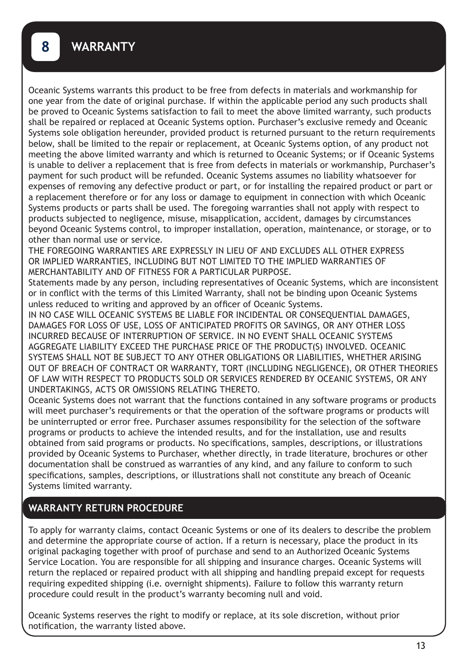Oceanic Systems warrants this product to be free from defects in materials and workmanship for one year from the date of original purchase. If within the applicable period any such products shall be proved to Oceanic Systems satisfaction to fail to meet the above limited warranty, such products shall be repaired or replaced at Oceanic Systems option. Purchaser's exclusive remedy and Oceanic Systems sole obligation hereunder, provided product is returned pursuant to the return requirements below, shall be limited to the repair or replacement, at Oceanic Systems option, of any product not meeting the above limited warranty and which is returned to Oceanic Systems; or if Oceanic Systems is unable to deliver a replacement that is free from defects in materials or workmanship, Purchaser's payment for such product will be refunded. Oceanic Systems assumes no liability whatsoever for expenses of removing any defective product or part, or for installing the repaired product or part or a replacement therefore or for any loss or damage to equipment in connection with which Oceanic Systems products or parts shall be used. The foregoing warranties shall not apply with respect to products subjected to negligence, misuse, misapplication, accident, damages by circumstances beyond Oceanic Systems control, to improper installation, operation, maintenance, or storage, or to other than normal use or service.

THE FOREGOING WARRANTIES ARE EXPRESSLY IN LIEU OF AND EXCLUDES ALL OTHER EXPRESS OR IMPLIED WARRANTIES, INCLUDING BUT NOT LIMITED TO THE IMPLIED WARRANTIES OF MERCHANTABILITY AND OF FITNESS FOR A PARTICULAR PURPOSE.

Statements made by any person, including representatives of Oceanic Systems, which are inconsistent or in conflict with the terms of this Limited Warranty, shall not be binding upon Oceanic Systems unless reduced to writing and approved by an officer of Oceanic Systems.

IN NO CASE WILL OCEANIC SYSTEMS BE LIABLE FOR INCIDENTAL OR CONSEQUENTIAL DAMAGES, DAMAGES FOR LOSS OF USE, LOSS OF ANTICIPATED PROFITS OR SAVINGS, OR ANY OTHER LOSS INCURRED BECAUSE OF INTERRUPTION OF SERVICE. IN NO EVENT SHALL OCEANIC SYSTEMS AGGREGATE LIABILITY EXCEED THE PURCHASE PRICE OF THE PRODUCT(S) INVOLVED. OCEANIC SYSTEMS SHALL NOT BE SUBJECT TO ANY OTHER OBLIGATIONS OR LIABILITIES, WHETHER ARISING OUT OF BREACH OF CONTRACT OR WARRANTY, TORT (INCLUDING NEGLIGENCE), OR OTHER THEORIES OF LAW WITH RESPECT TO PRODUCTS SOLD OR SERVICES RENDERED BY OCEANIC SYSTEMS, OR ANY UNDERTAKINGS, ACTS OR OMISSIONS RELATING THERETO.

Oceanic Systems does not warrant that the functions contained in any software programs or products will meet purchaser's requirements or that the operation of the software programs or products will be uninterrupted or error free. Purchaser assumes responsibility for the selection of the software programs or products to achieve the intended results, and for the installation, use and results obtained from said programs or products. No specifications, samples, descriptions, or illustrations provided by Oceanic Systems to Purchaser, whether directly, in trade literature, brochures or other documentation shall be construed as warranties of any kind, and any failure to conform to such specifications, samples, descriptions, or illustrations shall not constitute any breach of Oceanic Systems limited warranty.

### **WARRANTY RETURN PROCEDURE**

To apply for warranty claims, contact Oceanic Systems or one of its dealers to describe the problem and determine the appropriate course of action. If a return is necessary, place the product in its original packaging together with proof of purchase and send to an Authorized Oceanic Systems Service Location. You are responsible for all shipping and insurance charges. Oceanic Systems will return the replaced or repaired product with all shipping and handling prepaid except for requests requiring expedited shipping (i.e. overnight shipments). Failure to follow this warranty return procedure could result in the product's warranty becoming null and void.

Oceanic Systems reserves the right to modify or replace, at its sole discretion, without prior notification, the warranty listed above.